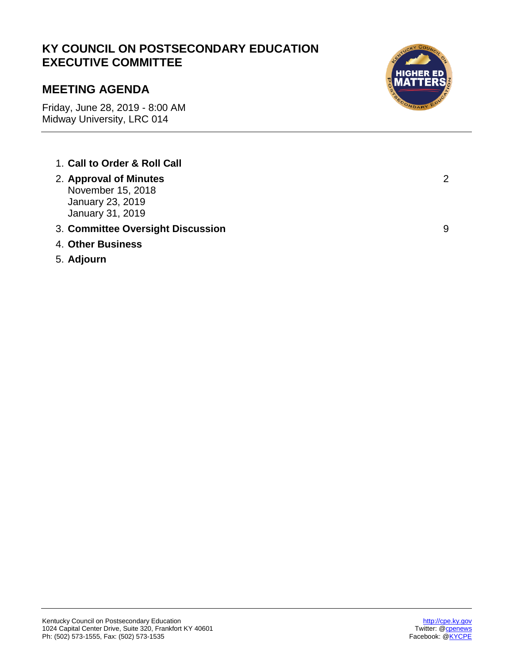# **KY COUNCIL ON POSTSECONDARY EDUCATION EXECUTIVE COMMITTEE**

# **MEETING AGENDA**

Friday, June 28, 2019 - 8:00 AM Midway University, LRC 014

- 1. **Call to Order & Roll Call**
- 2. **Approval of Minutes** November 15, 2018 January 23, 2019 January 31, 2019
- 3. **Committee Oversight Discussion** 9
- 4. **Other Business**
- 5. **Adjourn**



2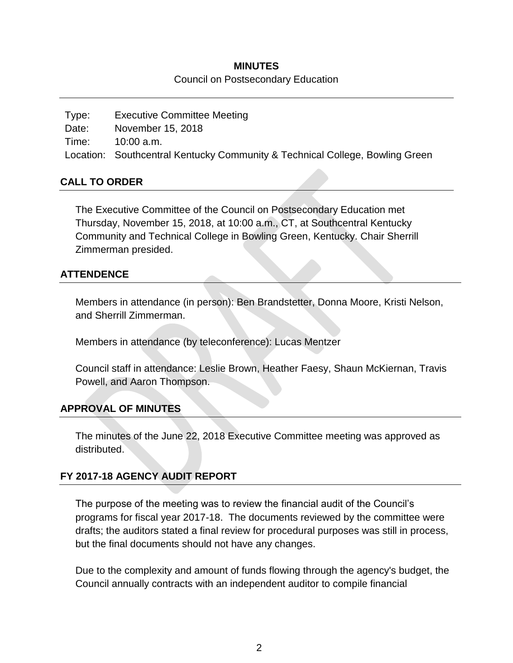#### **MINUTES** Council on Postsecondary Education

Type: Executive Committee Meeting Date: November 15, 2018 Time: 10:00 a.m. Location: Southcentral Kentucky Community & Technical College, Bowling Green

### **CALL TO ORDER**

The Executive Committee of the Council on Postsecondary Education met Thursday, November 15, 2018, at 10:00 a.m., CT, at Southcentral Kentucky Community and Technical College in Bowling Green, Kentucky. Chair Sherrill Zimmerman presided.

#### **ATTENDENCE**

Members in attendance (in person): Ben Brandstetter, Donna Moore, Kristi Nelson, and Sherrill Zimmerman.

Members in attendance (by teleconference): Lucas Mentzer

Council staff in attendance: Leslie Brown, Heather Faesy, Shaun McKiernan, Travis Powell, and Aaron Thompson.

### **APPROVAL OF MINUTES**

The minutes of the June 22, 2018 Executive Committee meeting was approved as distributed.

### **FY 2017-18 AGENCY AUDIT REPORT**

The purpose of the meeting was to review the financial audit of the Council's programs for fiscal year 2017-18. The documents reviewed by the committee were drafts; the auditors stated a final review for procedural purposes was still in process, but the final documents should not have any changes.

Due to the complexity and amount of funds flowing through the agency's budget, the Council annually contracts with an independent auditor to compile financial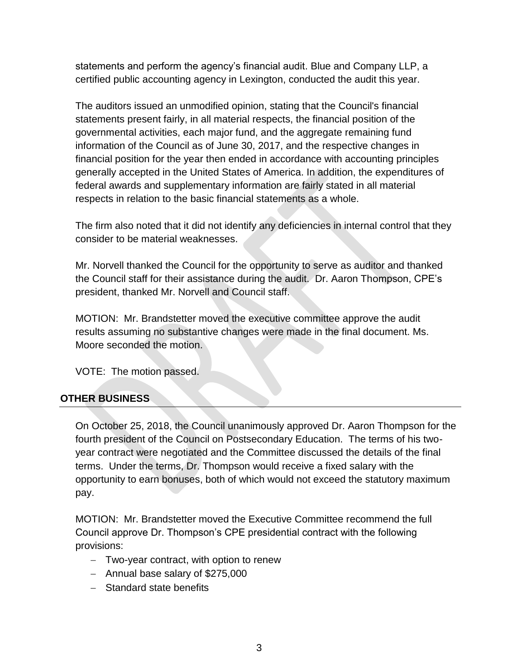statements and perform the agency's financial audit. Blue and Company LLP, a certified public accounting agency in Lexington, conducted the audit this year.

The auditors issued an unmodified opinion, stating that the Council's financial statements present fairly, in all material respects, the financial position of the governmental activities, each major fund, and the aggregate remaining fund information of the Council as of June 30, 2017, and the respective changes in financial position for the year then ended in accordance with accounting principles generally accepted in the United States of America. In addition, the expenditures of federal awards and supplementary information are fairly stated in all material respects in relation to the basic financial statements as a whole.

The firm also noted that it did not identify any deficiencies in internal control that they consider to be material weaknesses.

Mr. Norvell thanked the Council for the opportunity to serve as auditor and thanked the Council staff for their assistance during the audit. Dr. Aaron Thompson, CPE's president, thanked Mr. Norvell and Council staff.

MOTION: Mr. Brandstetter moved the executive committee approve the audit results assuming no substantive changes were made in the final document. Ms. Moore seconded the motion.

VOTE: The motion passed.

# **OTHER BUSINESS**

On October 25, 2018, the Council unanimously approved Dr. Aaron Thompson for the fourth president of the Council on Postsecondary Education. The terms of his twoyear contract were negotiated and the Committee discussed the details of the final terms. Under the terms, Dr. Thompson would receive a fixed salary with the opportunity to earn bonuses, both of which would not exceed the statutory maximum pay.

MOTION: Mr. Brandstetter moved the Executive Committee recommend the full Council approve Dr. Thompson's CPE presidential contract with the following provisions:

- Two-year contract, with option to renew
- Annual base salary of \$275,000
- Standard state benefits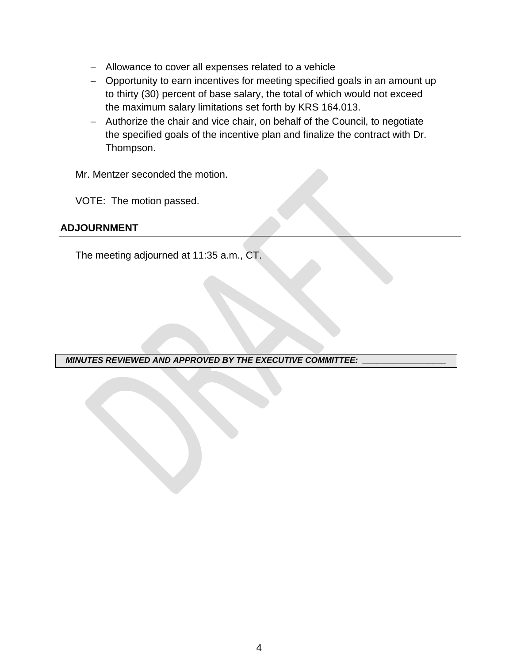- Allowance to cover all expenses related to a vehicle
- Opportunity to earn incentives for meeting specified goals in an amount up to thirty (30) percent of base salary, the total of which would not exceed the maximum salary limitations set forth by KRS 164.013.
- Authorize the chair and vice chair, on behalf of the Council, to negotiate the specified goals of the incentive plan and finalize the contract with Dr. Thompson.

Mr. Mentzer seconded the motion.

VOTE: The motion passed.

#### **ADJOURNMENT**

The meeting adjourned at 11:35 a.m., CT.

*MINUTES REVIEWED AND APPROVED BY THE EXECUTIVE COMMITTEE: \_\_\_\_\_\_\_\_\_\_\_\_\_\_\_\_\_\_*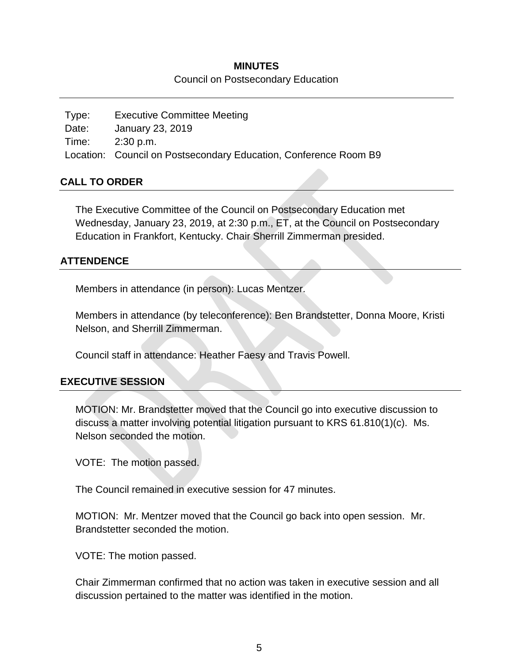#### **MINUTES**

#### Council on Postsecondary Education

Type: Executive Committee Meeting Date: January 23, 2019 Time: 2:30 p.m. Location: Council on Postsecondary Education, Conference Room B9

#### **CALL TO ORDER**

The Executive Committee of the Council on Postsecondary Education met Wednesday, January 23, 2019, at 2:30 p.m., ET, at the Council on Postsecondary Education in Frankfort, Kentucky. Chair Sherrill Zimmerman presided.

### **ATTENDENCE**

Members in attendance (in person): Lucas Mentzer.

Members in attendance (by teleconference): Ben Brandstetter, Donna Moore, Kristi Nelson, and Sherrill Zimmerman.

Council staff in attendance: Heather Faesy and Travis Powell.

#### **EXECUTIVE SESSION**

MOTION: Mr. Brandstetter moved that the Council go into executive discussion to discuss a matter involving potential litigation pursuant to KRS 61.810(1)(c). Ms. Nelson seconded the motion.

VOTE: The motion passed.

The Council remained in executive session for 47 minutes.

MOTION: Mr. Mentzer moved that the Council go back into open session. Mr. Brandstetter seconded the motion.

VOTE: The motion passed.

Chair Zimmerman confirmed that no action was taken in executive session and all discussion pertained to the matter was identified in the motion.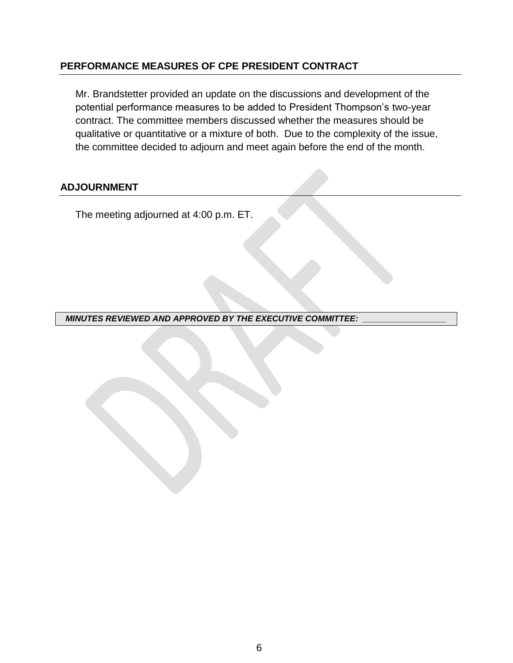#### **PERFORMANCE MEASURES OF CPE PRESIDENT CONTRACT**

Mr. Brandstetter provided an update on the discussions and development of the potential performance measures to be added to President Thompson's two-year contract. The committee members discussed whether the measures should be qualitative or quantitative or a mixture of both. Due to the complexity of the issue, the committee decided to adjourn and meet again before the end of the month.

#### **ADJOURNMENT**

The meeting adjourned at 4:00 p.m. ET.

*MINUTES REVIEWED AND APPROVED BY THE EXECUTIVE COMMITTEE:*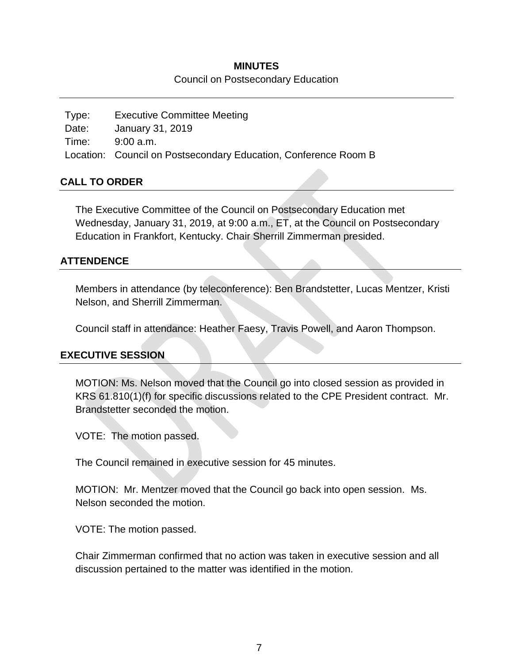#### **MINUTES**

#### Council on Postsecondary Education

Type: Executive Committee Meeting Date: January 31, 2019 Time: 9:00 a.m. Location: Council on Postsecondary Education, Conference Room B

### **CALL TO ORDER**

The Executive Committee of the Council on Postsecondary Education met Wednesday, January 31, 2019, at 9:00 a.m., ET, at the Council on Postsecondary Education in Frankfort, Kentucky. Chair Sherrill Zimmerman presided.

### **ATTENDENCE**

Members in attendance (by teleconference): Ben Brandstetter, Lucas Mentzer, Kristi Nelson, and Sherrill Zimmerman.

Council staff in attendance: Heather Faesy, Travis Powell, and Aaron Thompson.

### **EXECUTIVE SESSION**

MOTION: Ms. Nelson moved that the Council go into closed session as provided in KRS 61.810(1)(f) for specific discussions related to the CPE President contract. Mr. Brandstetter seconded the motion.

VOTE: The motion passed.

The Council remained in executive session for 45 minutes.

MOTION: Mr. Mentzer moved that the Council go back into open session. Ms. Nelson seconded the motion.

VOTE: The motion passed.

Chair Zimmerman confirmed that no action was taken in executive session and all discussion pertained to the matter was identified in the motion.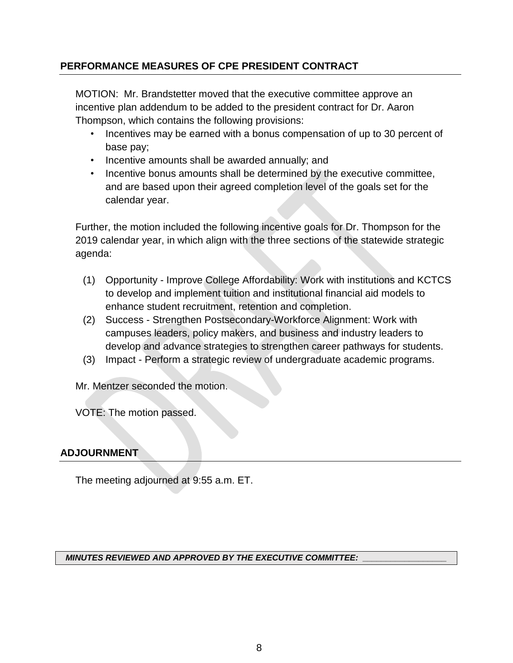## **PERFORMANCE MEASURES OF CPE PRESIDENT CONTRACT**

MOTION: Mr. Brandstetter moved that the executive committee approve an incentive plan addendum to be added to the president contract for Dr. Aaron Thompson, which contains the following provisions:

- Incentives may be earned with a bonus compensation of up to 30 percent of base pay;
- Incentive amounts shall be awarded annually; and
- Incentive bonus amounts shall be determined by the executive committee, and are based upon their agreed completion level of the goals set for the calendar year.

Further, the motion included the following incentive goals for Dr. Thompson for the 2019 calendar year, in which align with the three sections of the statewide strategic agenda:

- (1) Opportunity Improve College Affordability: Work with institutions and KCTCS to develop and implement tuition and institutional financial aid models to enhance student recruitment, retention and completion.
- (2) Success Strengthen Postsecondary-Workforce Alignment: Work with campuses leaders, policy makers, and business and industry leaders to develop and advance strategies to strengthen career pathways for students.
- (3) Impact Perform a strategic review of undergraduate academic programs.

Mr. Mentzer seconded the motion.

VOTE: The motion passed.

### **ADJOURNMENT**

The meeting adjourned at 9:55 a.m. ET.

#### *MINUTES REVIEWED AND APPROVED BY THE EXECUTIVE COMMITTEE: \_\_\_\_\_\_\_\_\_\_\_\_\_\_\_\_\_\_*